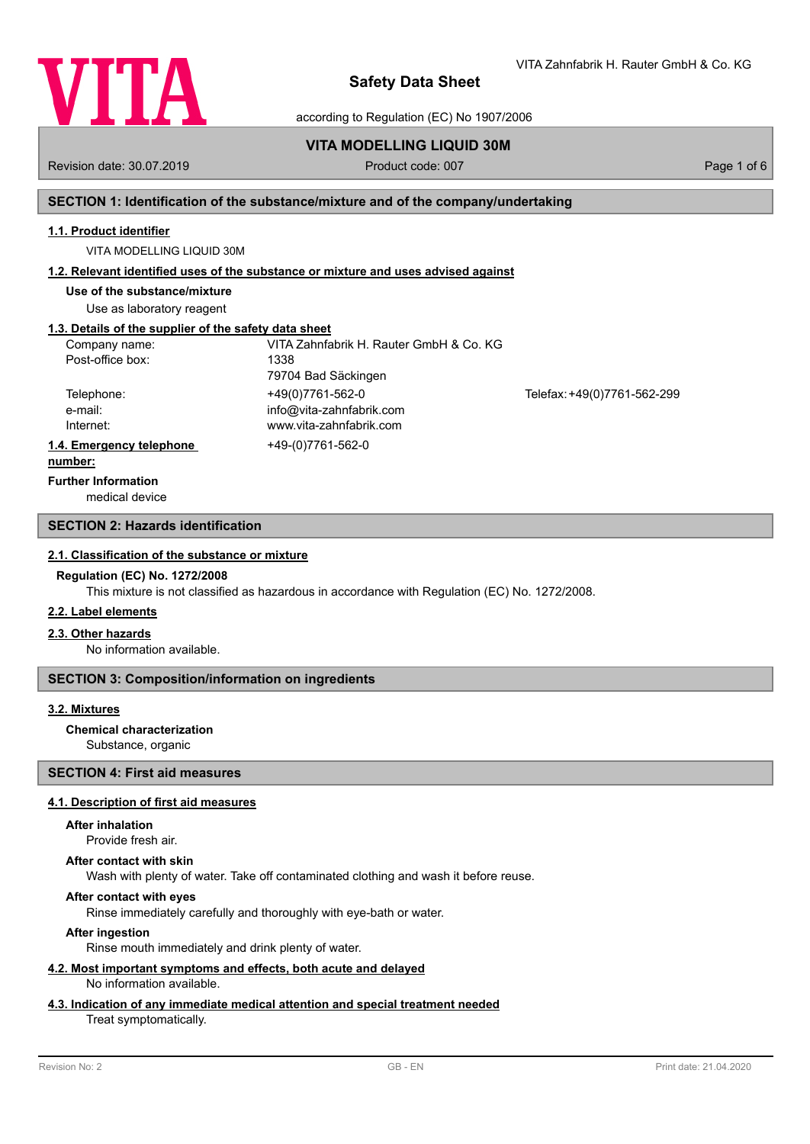

VITA Zahnfabrik H. Rauter GmbH & Co. KG

according to Regulation (EC) No 1907/2006

# **VITA MODELLING LIQUID 30M**

Revision date: 30.07.2019 **Product code: 007** Product code: 007 **Page 1 of 6** Page 1 of 6

# **SECTION 1: Identification of the substance/mixture and of the company/undertaking**

#### **1.1. Product identifier**

VITA MODELLING LIQUID 30M

#### **1.2. Relevant identified uses of the substance or mixture and uses advised against**

**Use of the substance/mixture**

Use as laboratory reagent

# **1.3. Details of the supplier of the safety data sheet**

| Company name:            | VITA Zahnfabrik H. Rauter GmbH & Co. KG |                             |
|--------------------------|-----------------------------------------|-----------------------------|
| Post-office box:         | 1338                                    |                             |
|                          | 79704 Bad Säckingen                     |                             |
| Telephone:               | +49(0)7761-562-0                        | Telefax: +49(0)7761-562-299 |
| e-mail:                  | info@vita-zahnfabrik.com                |                             |
| Internet:                | www.vita-zahnfabrik.com                 |                             |
| 1.4. Emergency telephone | +49-(0)7761-562-0                       |                             |
| .                        |                                         |                             |

#### **number:**

**Further Information**

medical device

# **SECTION 2: Hazards identification**

#### **2.1. Classification of the substance or mixture**

#### **Regulation (EC) No. 1272/2008**

This mixture is not classified as hazardous in accordance with Regulation (EC) No. 1272/2008.

#### **2.2. Label elements**

#### **2.3. Other hazards**

No information available.

# **SECTION 3: Composition/information on ingredients**

# **3.2. Mixtures**

# **Chemical characterization**

Substance, organic

# **SECTION 4: First aid measures**

# **4.1. Description of first aid measures**

#### **After inhalation**

Provide fresh air.

#### **After contact with skin**

Wash with plenty of water. Take off contaminated clothing and wash it before reuse.

# **After contact with eyes**

Rinse immediately carefully and thoroughly with eye-bath or water.

# **After ingestion**

Rinse mouth immediately and drink plenty of water.

#### **4.2. Most important symptoms and effects, both acute and delayed** No information available.

#### **4.3. Indication of any immediate medical attention and special treatment needed**

#### Treat symptomatically.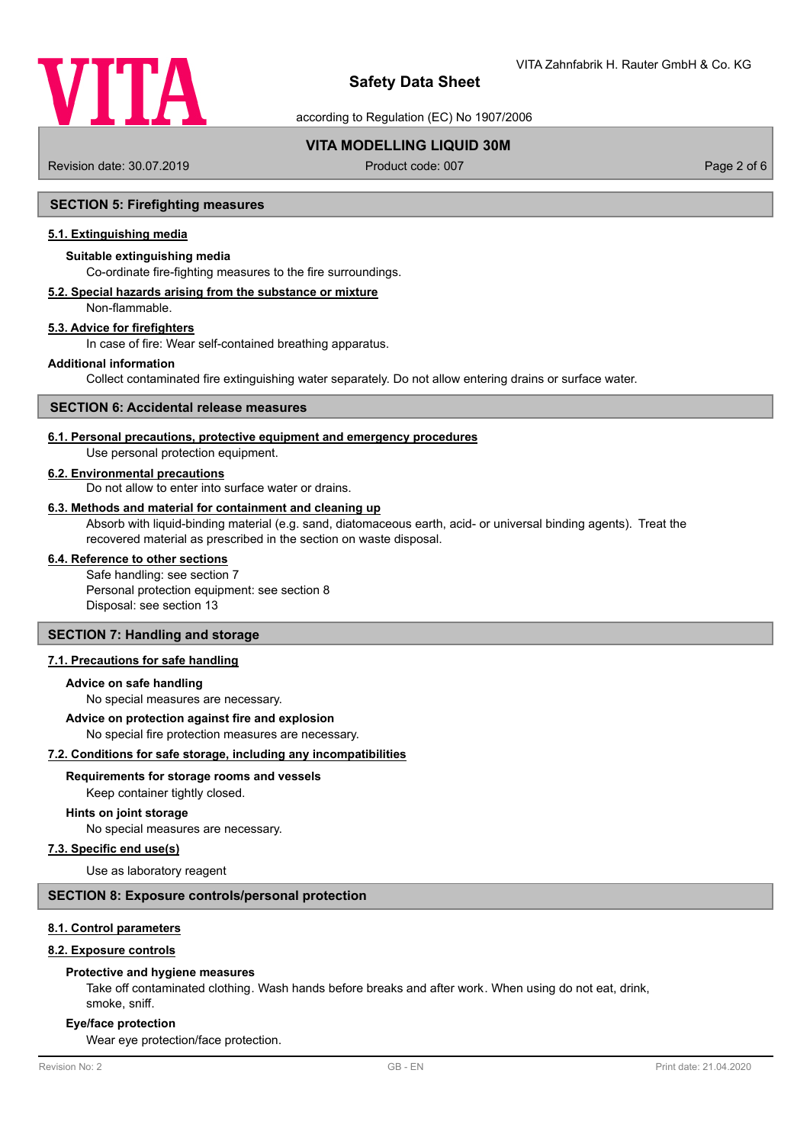

according to Regulation (EC) No 1907/2006

# **VITA MODELLING LIQUID 30M**

Revision date: 30.07.2019 **Product code: 007** Product code: 007 **Page 2 of 6** Page 2 of 6

# **SECTION 5: Firefighting measures**

## **5.1. Extinguishing media**

# **Suitable extinguishing media**

Co-ordinate fire-fighting measures to the fire surroundings.

# **5.2. Special hazards arising from the substance or mixture**

Non-flammable.

# **5.3. Advice for firefighters**

In case of fire: Wear self-contained breathing apparatus.

#### **Additional information**

Collect contaminated fire extinguishing water separately. Do not allow entering drains or surface water.

#### **SECTION 6: Accidental release measures**

#### **6.1. Personal precautions, protective equipment and emergency procedures**

Use personal protection equipment.

#### **6.2. Environmental precautions**

Do not allow to enter into surface water or drains.

#### **6.3. Methods and material for containment and cleaning up**

Absorb with liquid-binding material (e.g. sand, diatomaceous earth, acid- or universal binding agents). Treat the recovered material as prescribed in the section on waste disposal.

#### **6.4. Reference to other sections**

Safe handling: see section 7 Personal protection equipment: see section 8 Disposal: see section 13

# **SECTION 7: Handling and storage**

## **7.1. Precautions for safe handling**

## **Advice on safe handling**

No special measures are necessary.

#### **Advice on protection against fire and explosion**

No special fire protection measures are necessary.

# **7.2. Conditions for safe storage, including any incompatibilities**

#### **Requirements for storage rooms and vessels**

Keep container tightly closed.

# **Hints on joint storage**

No special measures are necessary.

#### **7.3. Specific end use(s)**

Use as laboratory reagent

#### **SECTION 8: Exposure controls/personal protection**

#### **8.1. Control parameters**

### **8.2. Exposure controls**

#### **Protective and hygiene measures**

Take off contaminated clothing. Wash hands before breaks and after work. When using do not eat, drink, smoke, sniff.

#### **Eye/face protection**

Wear eye protection/face protection.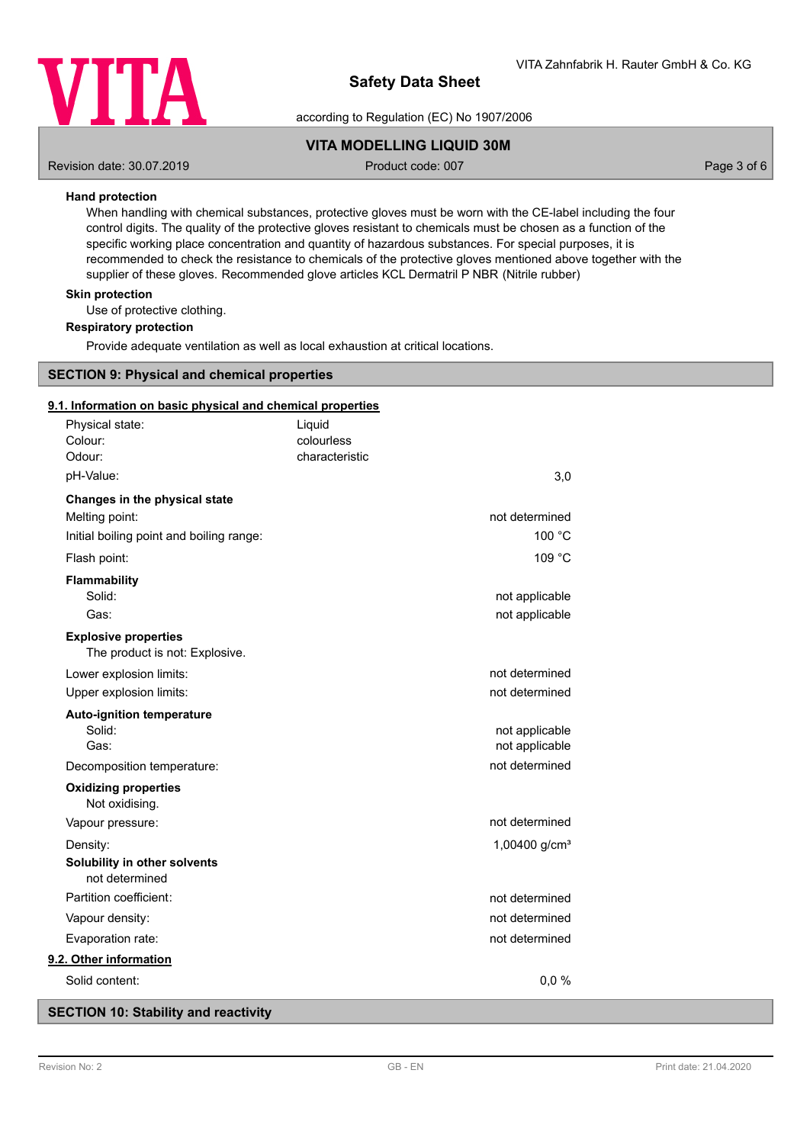

according to Regulation (EC) No 1907/2006

# **VITA MODELLING LIQUID 30M**

Revision date: 30.07.2019 **Product code: 007** Product code: 007 **Page 3 of 6** Page 3 of 6

# **Hand protection**

When handling with chemical substances, protective gloves must be worn with the CE-label including the four control digits. The quality of the protective gloves resistant to chemicals must be chosen as a function of the specific working place concentration and quantity of hazardous substances. For special purposes, it is recommended to check the resistance to chemicals of the protective gloves mentioned above together with the supplier of these gloves. Recommended glove articles KCL Dermatril P NBR (Nitrile rubber)

# **Skin protection**

Use of protective clothing.

#### **Respiratory protection**

Provide adequate ventilation as well as local exhaustion at critical locations.

# **SECTION 9: Physical and chemical properties**

### **9.1. Information on basic physical and chemical properties**

| Physical state:                                               | Liquid     |                 |
|---------------------------------------------------------------|------------|-----------------|
| Colour:<br>Odour:                                             | colourless | characteristic  |
|                                                               |            |                 |
| pH-Value:                                                     |            | 3,0             |
| Changes in the physical state                                 |            |                 |
| Melting point:                                                |            | not determined  |
| Initial boiling point and boiling range:                      |            | 100 °C          |
| Flash point:                                                  |            | 109 °C          |
| <b>Flammability</b>                                           |            |                 |
| Solid:                                                        |            | not applicable  |
| Gas:                                                          |            | not applicable  |
| <b>Explosive properties</b><br>The product is not: Explosive. |            |                 |
| Lower explosion limits:                                       |            | not determined  |
| Upper explosion limits:                                       |            | not determined  |
| <b>Auto-ignition temperature</b>                              |            |                 |
| Solid:                                                        |            | not applicable  |
| Gas:                                                          |            | not applicable  |
| Decomposition temperature:                                    |            | not determined  |
| <b>Oxidizing properties</b><br>Not oxidising.                 |            |                 |
| Vapour pressure:                                              |            | not determined  |
| Density:                                                      |            | 1,00400 $g/cm3$ |
| Solubility in other solvents<br>not determined                |            |                 |
| Partition coefficient:                                        |            | not determined  |
| Vapour density:                                               |            | not determined  |
| Evaporation rate:                                             |            | not determined  |
| 9.2. Other information                                        |            |                 |
| Solid content:                                                |            | 0,0%            |
|                                                               |            |                 |

# **SECTION 10: Stability and reactivity**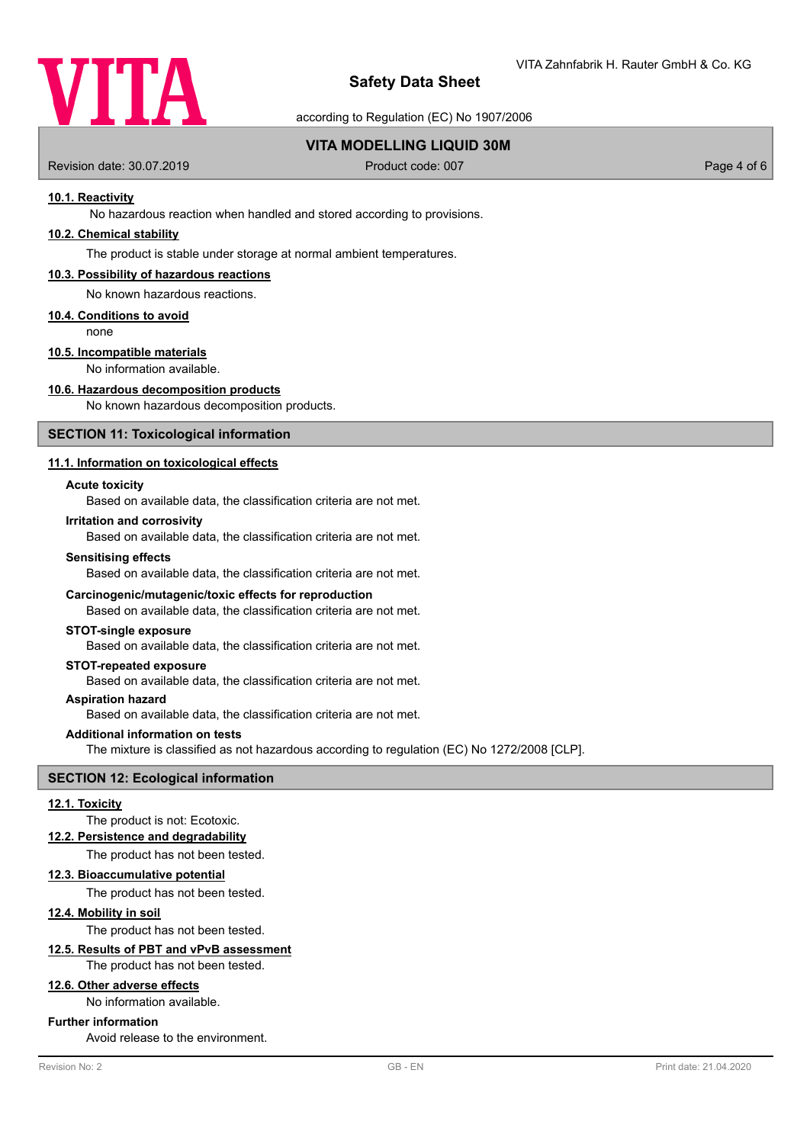

according to Regulation (EC) No 1907/2006

# **VITA MODELLING LIQUID 30M**

Revision date: 30.07.2019 **Product code: 007** Product code: 007 **Page 4 of 6** Page 4 of 6

## **10.1. Reactivity**

No hazardous reaction when handled and stored according to provisions.

# **10.2. Chemical stability**

The product is stable under storage at normal ambient temperatures.

#### **10.3. Possibility of hazardous reactions**

No known hazardous reactions.

#### **10.4. Conditions to avoid**

none

# **10.5. Incompatible materials**

No information available.

# **10.6. Hazardous decomposition products**

No known hazardous decomposition products.

#### **SECTION 11: Toxicological information**

# **11.1. Information on toxicological effects**

#### **Acute toxicity**

Based on available data, the classification criteria are not met.

#### **Irritation and corrosivity**

Based on available data, the classification criteria are not met.

#### **Sensitising effects**

Based on available data, the classification criteria are not met.

#### **Carcinogenic/mutagenic/toxic effects for reproduction**

Based on available data, the classification criteria are not met.

#### **STOT-single exposure**

Based on available data, the classification criteria are not met.

# **STOT-repeated exposure**

Based on available data, the classification criteria are not met.

#### **Aspiration hazard**

Based on available data, the classification criteria are not met.

#### **Additional information on tests**

The mixture is classified as not hazardous according to regulation (EC) No 1272/2008 [CLP].

# **SECTION 12: Ecological information**

#### **12.1. Toxicity**

The product is not: Ecotoxic.

#### **12.2. Persistence and degradability**

The product has not been tested.

#### **12.3. Bioaccumulative potential**

The product has not been tested.

# **12.4. Mobility in soil**

The product has not been tested.

# **12.5. Results of PBT and vPvB assessment**

The product has not been tested.

# **12.6. Other adverse effects**

No information available.

## **Further information**

Avoid release to the environment.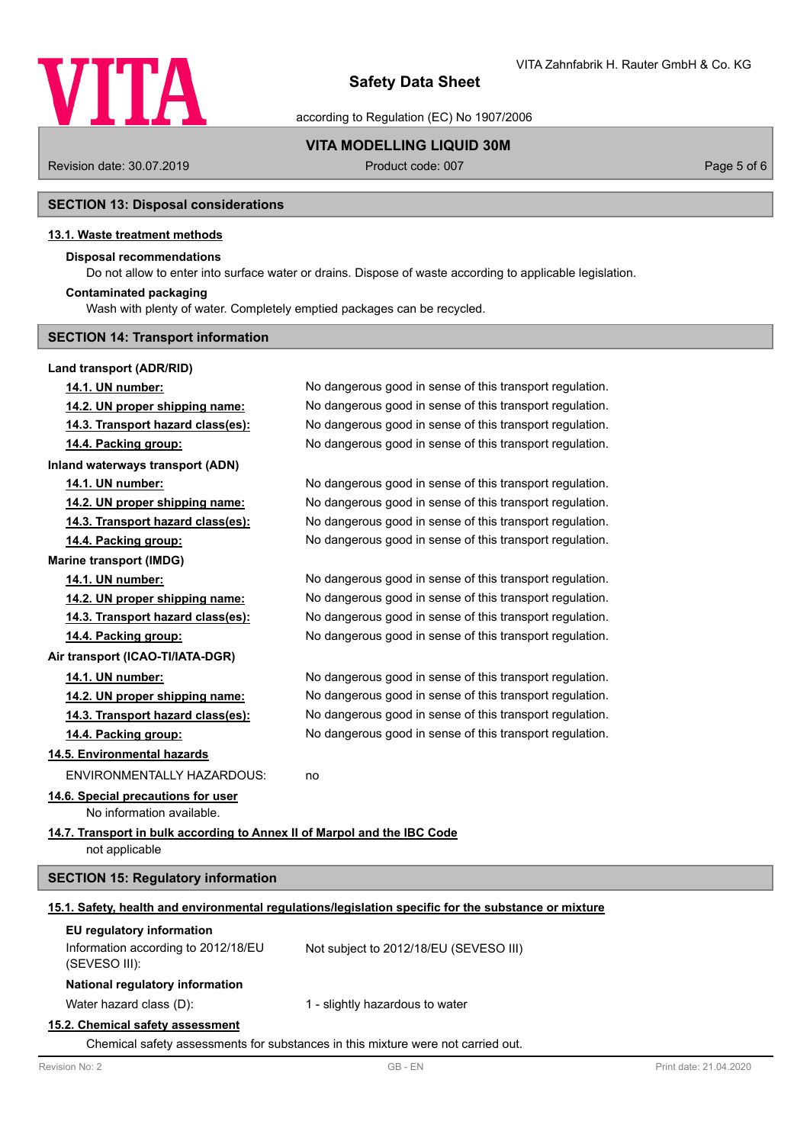

according to Regulation (EC) No 1907/2006

**VITA MODELLING LIQUID 30M**

Revision date: 30.07.2019 **Product code: 007** Product code: 007 **Page 5 of 6** Page 5 of 6

# **SECTION 13: Disposal considerations**

# **13.1. Waste treatment methods**

# **Disposal recommendations**

Do not allow to enter into surface water or drains. Dispose of waste according to applicable legislation.

#### **Contaminated packaging**

Wash with plenty of water. Completely emptied packages can be recycled.

# **SECTION 14: Transport information**

# **Land transport (ADR/RID)**

| 14.1. UN number:                                                                           | No dangerous good in sense of this transport regulation.                                             |
|--------------------------------------------------------------------------------------------|------------------------------------------------------------------------------------------------------|
| 14.2. UN proper shipping name:                                                             | No dangerous good in sense of this transport regulation.                                             |
| 14.3. Transport hazard class(es):                                                          | No dangerous good in sense of this transport regulation.                                             |
| 14.4. Packing group:                                                                       | No dangerous good in sense of this transport regulation.                                             |
| <b>Inland waterways transport (ADN)</b>                                                    |                                                                                                      |
| 14.1. UN number:                                                                           | No dangerous good in sense of this transport regulation.                                             |
| 14.2. UN proper shipping name:                                                             | No dangerous good in sense of this transport regulation.                                             |
| 14.3. Transport hazard class(es):                                                          | No dangerous good in sense of this transport regulation.                                             |
| 14.4. Packing group:                                                                       | No dangerous good in sense of this transport regulation.                                             |
| <b>Marine transport (IMDG)</b>                                                             |                                                                                                      |
| 14.1. UN number:                                                                           | No dangerous good in sense of this transport regulation.                                             |
| 14.2. UN proper shipping name:                                                             | No dangerous good in sense of this transport regulation.                                             |
| 14.3. Transport hazard class(es):                                                          | No dangerous good in sense of this transport regulation.                                             |
| 14.4. Packing group:                                                                       | No dangerous good in sense of this transport regulation.                                             |
| Air transport (ICAO-TI/IATA-DGR)                                                           |                                                                                                      |
| 14.1. UN number:                                                                           | No dangerous good in sense of this transport regulation.                                             |
| 14.2. UN proper shipping name:                                                             | No dangerous good in sense of this transport regulation.                                             |
| 14.3. Transport hazard class(es):                                                          | No dangerous good in sense of this transport regulation.                                             |
| 14.4. Packing group:                                                                       | No dangerous good in sense of this transport regulation.                                             |
| 14.5. Environmental hazards                                                                |                                                                                                      |
| ENVIRONMENTALLY HAZARDOUS:                                                                 | no                                                                                                   |
| 14.6. Special precautions for user<br>No information available.                            |                                                                                                      |
| 14.7. Transport in bulk according to Annex II of Marpol and the IBC Code<br>not applicable |                                                                                                      |
| <b>SECTION 15: Regulatory information</b>                                                  |                                                                                                      |
|                                                                                            | 15.1. Safety, health and environmental regulations/legislation specific for the substance or mixture |
| EU regulatory information                                                                  |                                                                                                      |
| Information according to 2012/18/EU<br>(SEVESO III):                                       | Not subject to 2012/18/EU (SEVESO III)                                                               |
| National regulatory information                                                            |                                                                                                      |
| Water hazard class (D):                                                                    | 1 - slightly hazardous to water                                                                      |
|                                                                                            |                                                                                                      |

#### **15.2. Chemical safety assessment**

Chemical safety assessments for substances in this mixture were not carried out.